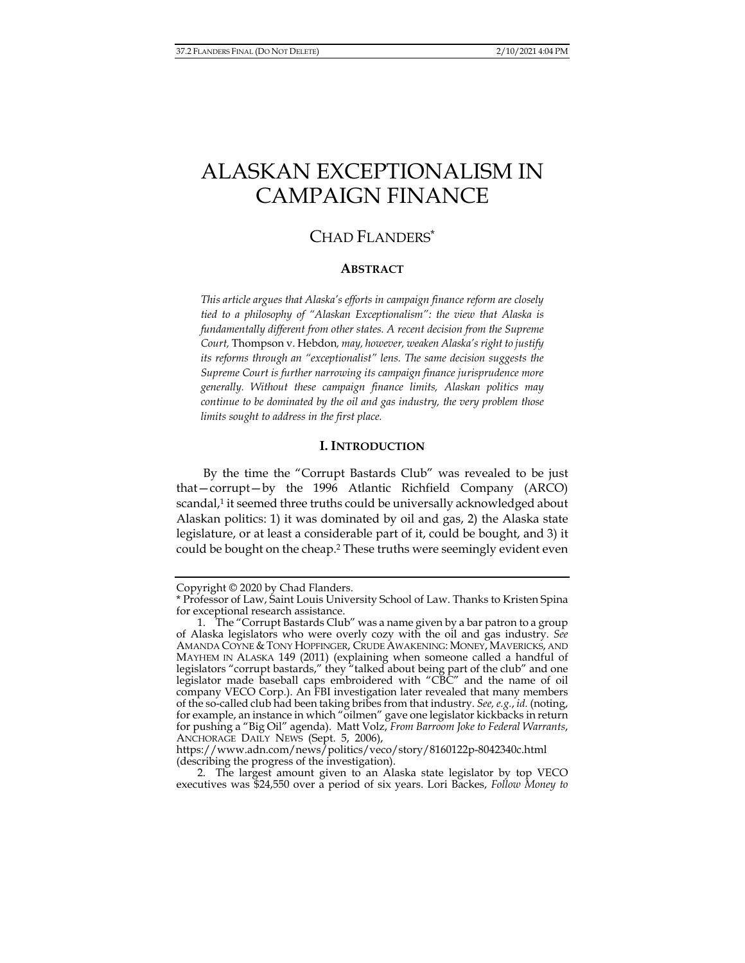# ALASKAN EXCEPTIONALISM IN CAMPAIGN FINANCE

# CHAD FLANDERS\*

#### **ABSTRACT**

*This article argues that Alaska's efforts in campaign finance reform are closely tied to a philosophy of "Alaskan Exceptionalism": the view that Alaska is fundamentally different from other states. A recent decision from the Supreme Court,* Thompson v. Hebdon*, may, however, weaken Alaska's right to justify its reforms through an "exceptionalist" lens. The same decision suggests the Supreme Court is further narrowing its campaign finance jurisprudence more generally. Without these campaign finance limits, Alaskan politics may continue to be dominated by the oil and gas industry, the very problem those limits sought to address in the first place.* 

#### **I. INTRODUCTION**

By the time the "Corrupt Bastards Club" was revealed to be just that—corrupt—by the 1996 Atlantic Richfield Company (ARCO) scandal,<sup>1</sup> it seemed three truths could be universally acknowledged about Alaskan politics: 1) it was dominated by oil and gas, 2) the Alaska state legislature, or at least a considerable part of it, could be bought, and 3) it could be bought on the cheap.2 These truths were seemingly evident even

Copyright © 2020 by Chad Flanders.

<sup>\*</sup> Professor of Law, Saint Louis University School of Law. Thanks to Kristen Spina for exceptional research assistance.

 <sup>1.</sup> The "Corrupt Bastards Club" was a name given by a bar patron to a group of Alaska legislators who were overly cozy with the oil and gas industry. *See*  AMANDA COYNE & TONY HOPFINGER, CRUDE AWAKENING: MONEY, MAVERICKS, AND MAYHEM IN ALASKA 149 (2011) (explaining when someone called a handful of legislators "corrupt bastards," they "talked about being part of the club" and one legislator made baseball caps embroidered with "CBC" and the name of oil company VECO Corp.). An FBI investigation later revealed that many members of the so-called club had been taking bribes from that industry. *See, e.g.*, *id.* (noting, for example, an instance in which "oilmen" gave one legislator kickbacks in return for pushing a "Big Oil" agenda). Matt Volz, *From Barroom Joke to Federal Warrants*, ANCHORAGE DAILY NEWS (Sept. 5, 2006),

https://www.adn.com/news/politics/veco/story/8160122p-8042340c.html (describing the progress of the investigation).

 <sup>2.</sup> The largest amount given to an Alaska state legislator by top VECO executives was \$24,550 over a period of six years. Lori Backes, *Follow Money to*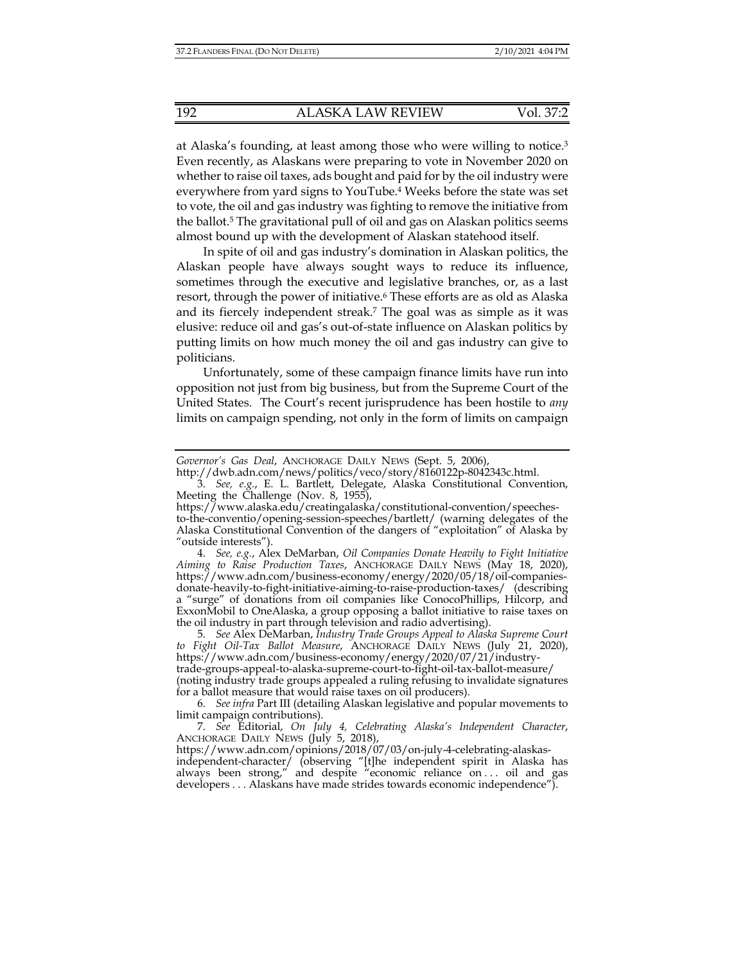at Alaska's founding, at least among those who were willing to notice.3 Even recently, as Alaskans were preparing to vote in November 2020 on whether to raise oil taxes, ads bought and paid for by the oil industry were everywhere from yard signs to YouTube.4 Weeks before the state was set to vote, the oil and gas industry was fighting to remove the initiative from the ballot.5 The gravitational pull of oil and gas on Alaskan politics seems almost bound up with the development of Alaskan statehood itself.

In spite of oil and gas industry's domination in Alaskan politics, the Alaskan people have always sought ways to reduce its influence, sometimes through the executive and legislative branches, or, as a last resort, through the power of initiative.6 These efforts are as old as Alaska and its fiercely independent streak.7 The goal was as simple as it was elusive: reduce oil and gas's out-of-state influence on Alaskan politics by putting limits on how much money the oil and gas industry can give to politicians.

Unfortunately, some of these campaign finance limits have run into opposition not just from big business, but from the Supreme Court of the United States. The Court's recent jurisprudence has been hostile to *any* limits on campaign spending, not only in the form of limits on campaign

 4. *See, e.g.*, Alex DeMarban, *Oil Companies Donate Heavily to Fight Initiative Aiming to Raise Production Taxes*, ANCHORAGE DAILY NEWS (May 18, 2020), https://www.adn.com/business-economy/energy/2020/05/18/oil-companiesdonate-heavily-to-fight-initiative-aiming-to-raise-production-taxes/ (describing a "surge" of donations from oil companies like ConocoPhillips, Hilcorp, and ExxonMobil to OneAlaska, a group opposing a ballot initiative to raise taxes on the oil industry in part through television and radio advertising).

 5. *See* Alex DeMarban, *Industry Trade Groups Appeal to Alaska Supreme Court to Fight Oil-Tax Ballot Measure*, ANCHORAGE DAILY NEWS (July 21, 2020), https://www.adn.com/business-economy/energy/2020/07/21/industrytrade-groups-appeal-to-alaska-supreme-court-to-fight-oil-tax-ballot-measure/ (noting industry trade groups appealed a ruling refusing to invalidate signatures for a ballot measure that would raise taxes on oil producers).

 6. *See infra* Part III (detailing Alaskan legislative and popular movements to limit campaign contributions).

 7. *See* Editorial, *On July 4, Celebrating Alaska's Independent Character*, ANCHORAGE DAILY NEWS (July 5, 2018),

https://www.adn.com/opinions/2018/07/03/on-july-4-celebrating-alaskasindependent-character/ (observing "[t]he independent spirit in Alaska has always been strong," and despite "economic reliance on . . . oil and gas developers . . . Alaskans have made strides towards economic independence").

*Governor's Gas Deal*, ANCHORAGE DAILY NEWS (Sept. 5, 2006),

http://dwb.adn.com/news/politics/veco/story/8160122p-8042343c.html.

 <sup>3.</sup> *See, e.g.*, E. L. Bartlett, Delegate, Alaska Constitutional Convention, Meeting the Challenge (Nov. 8, 1955),

https://www.alaska.edu/creatingalaska/constitutional-convention/speechesto-the-conventio/opening-session-speeches/bartlett/ (warning delegates of the Alaska Constitutional Convention of the dangers of "exploitation" of Alaska by "outside interests").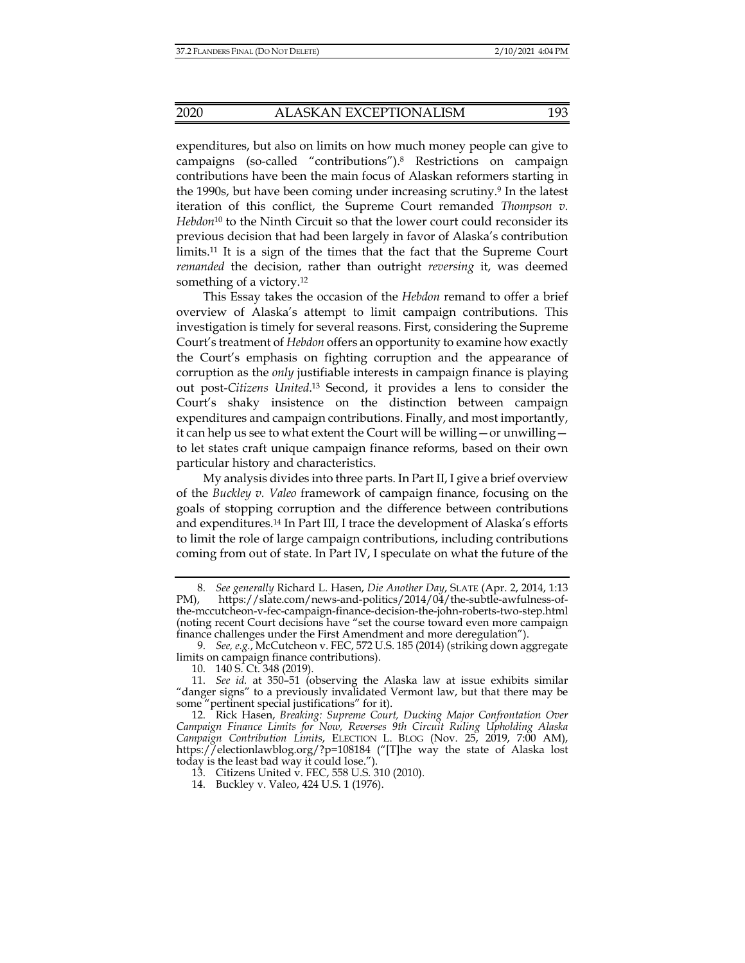expenditures, but also on limits on how much money people can give to campaigns (so-called "contributions").8 Restrictions on campaign contributions have been the main focus of Alaskan reformers starting in the 1990s, but have been coming under increasing scrutiny.9 In the latest iteration of this conflict, the Supreme Court remanded *Thompson v. Hebdon*10 to the Ninth Circuit so that the lower court could reconsider its previous decision that had been largely in favor of Alaska's contribution limits.11 It is a sign of the times that the fact that the Supreme Court *remanded* the decision, rather than outright *reversing* it, was deemed something of a victory.<sup>12</sup>

This Essay takes the occasion of the *Hebdon* remand to offer a brief overview of Alaska's attempt to limit campaign contributions. This investigation is timely for several reasons. First, considering the Supreme Court's treatment of *Hebdon* offers an opportunity to examine how exactly the Court's emphasis on fighting corruption and the appearance of corruption as the *only* justifiable interests in campaign finance is playing out post-*Citizens United*. 13 Second, it provides a lens to consider the Court's shaky insistence on the distinction between campaign expenditures and campaign contributions. Finally, and most importantly, it can help us see to what extent the Court will be willing—or unwilling to let states craft unique campaign finance reforms, based on their own particular history and characteristics.

My analysis divides into three parts. In Part II, I give a brief overview of the *Buckley v. Valeo* framework of campaign finance, focusing on the goals of stopping corruption and the difference between contributions and expenditures.14 In Part III, I trace the development of Alaska's efforts to limit the role of large campaign contributions, including contributions coming from out of state. In Part IV, I speculate on what the future of the

 <sup>8.</sup> *See generally* Richard L. Hasen, *Die Another Day*, SLATE (Apr. 2, 2014, 1:13 PM), https://slate.com/news-and-politics/2014/04/the-subtle-awfulness-ofthe-mccutcheon-v-fec-campaign-finance-decision-the-john-roberts-two-step.html (noting recent Court decisions have "set the course toward even more campaign finance challenges under the First Amendment and more deregulation").

 <sup>9.</sup> *See, e.g.*, McCutcheon v. FEC, 572 U.S. 185 (2014) (striking down aggregate limits on campaign finance contributions).

 <sup>10. 140</sup> S. Ct. 348 (2019).

 <sup>11.</sup> *See id.* at 350–51 (observing the Alaska law at issue exhibits similar "danger signs" to a previously invalidated Vermont law, but that there may be some "pertinent special justifications" for it).

 <sup>12.</sup> Rick Hasen, *Breaking: Supreme Court, Ducking Major Confrontation Over Campaign Finance Limits for Now, Reverses 9th Circuit Ruling Upholding Alaska Campaign Contribution Limits*, ELECTION L. BLOG (Nov. 25, 2019, 7:00 AM), https://electionlawblog.org/?p=108184 ("[T]he way the state of Alaska lost today is the least bad way it could lose.").

 <sup>13.</sup> Citizens United v. FEC, 558 U.S. 310 (2010).

 <sup>14.</sup> Buckley v. Valeo, 424 U.S. 1 (1976).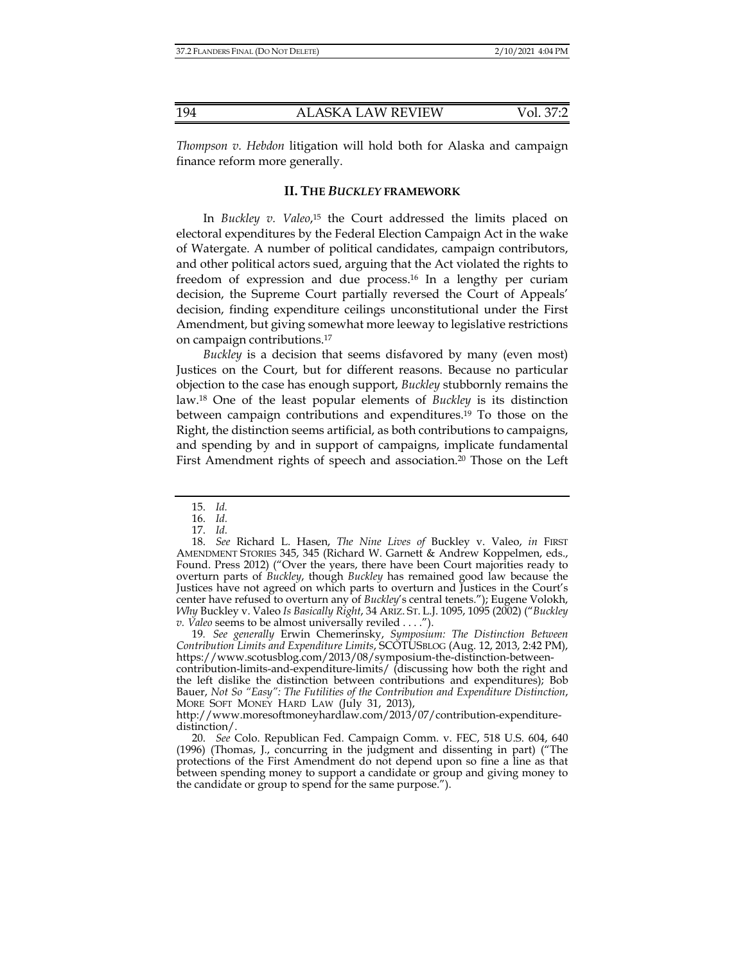*Thompson v. Hebdon* litigation will hold both for Alaska and campaign finance reform more generally.

## **II. THE** *BUCKLEY* **FRAMEWORK**

In *Buckley v. Valeo*,<sup>15</sup> the Court addressed the limits placed on electoral expenditures by the Federal Election Campaign Act in the wake of Watergate. A number of political candidates, campaign contributors, and other political actors sued, arguing that the Act violated the rights to freedom of expression and due process.16 In a lengthy per curiam decision, the Supreme Court partially reversed the Court of Appeals' decision, finding expenditure ceilings unconstitutional under the First Amendment, but giving somewhat more leeway to legislative restrictions on campaign contributions.17

*Buckley* is a decision that seems disfavored by many (even most) Justices on the Court, but for different reasons. Because no particular objection to the case has enough support, *Buckley* stubbornly remains the law.18 One of the least popular elements of *Buckley* is its distinction between campaign contributions and expenditures.19 To those on the Right, the distinction seems artificial, as both contributions to campaigns, and spending by and in support of campaigns, implicate fundamental First Amendment rights of speech and association.<sup>20</sup> Those on the Left

19*. See generally* Erwin Chemerinsky, *Symposium: The Distinction Between Contribution Limits and Expenditure Limits*, SCOTUSBLOG (Aug. 12, 2013, 2:42 PM), https://www.scotusblog.com/2013/08/symposium-the-distinction-betweencontribution-limits-and-expenditure-limits/ (discussing how both the right and the left dislike the distinction between contributions and expenditures); Bob Bauer, *Not So "Easy": The Futilities of the Contribution and Expenditure Distinction*, MORE SOFT MONEY HARD LAW (July 31, 2013),

 <sup>15.</sup> *Id.* 

 <sup>16.</sup> *Id.*

 <sup>17.</sup> *Id.*

 <sup>18.</sup> *See* Richard L. Hasen, *The Nine Lives of* Buckley v. Valeo, *in* FIRST AMENDMENT STORIES 345, 345 (Richard W. Garnett & Andrew Koppelmen, eds., Found. Press 2012) ("Over the years, there have been Court majorities ready to overturn parts of *Buckley*, though *Buckley* has remained good law because the Justices have not agreed on which parts to overturn and Justices in the Court's center have refused to overturn any of *Buckley*'s central tenets."); Eugene Volokh, *Why* Buckley v. Valeo *Is Basically Right*, 34 ARIZ. ST. L.J. 1095, 1095 (2002) ("*Buckley v. Valeo* seems to be almost universally reviled . . . .").

http://www.moresoftmoneyhardlaw.com/2013/07/contribution-expendituredistinction/.

 <sup>20.</sup> *See* Colo. Republican Fed. Campaign Comm. v. FEC, 518 U.S. 604, 640 (1996) (Thomas, J., concurring in the judgment and dissenting in part) ("The protections of the First Amendment do not depend upon so fine a line as that between spending money to support a candidate or group and giving money to the candidate or group to spend for the same purpose.").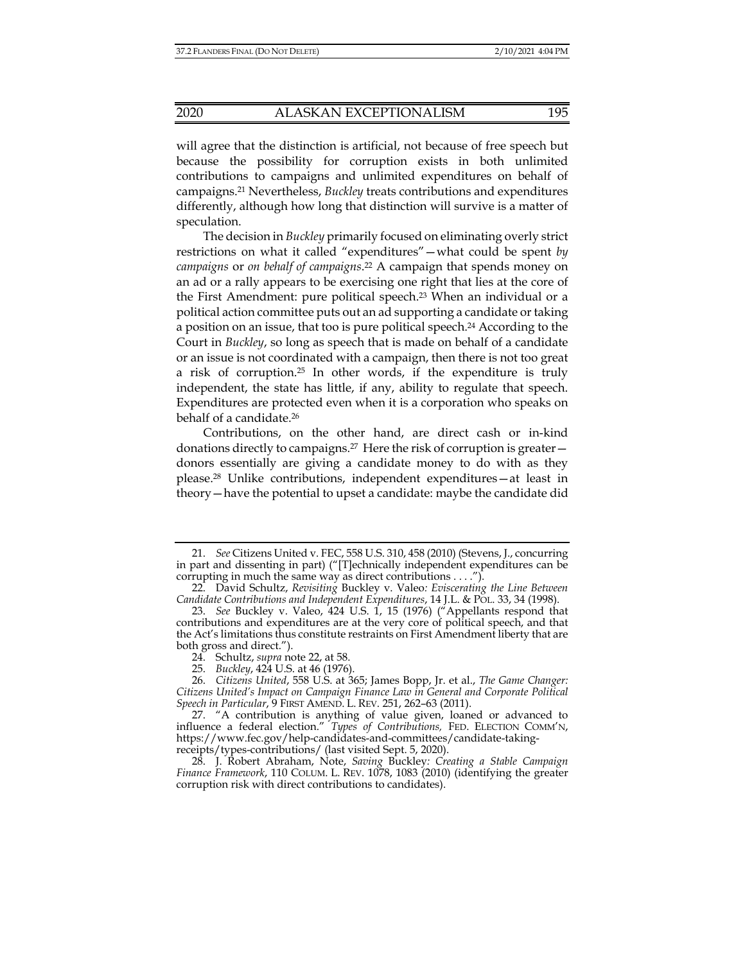will agree that the distinction is artificial, not because of free speech but because the possibility for corruption exists in both unlimited contributions to campaigns and unlimited expenditures on behalf of campaigns.21 Nevertheless, *Buckley* treats contributions and expenditures differently, although how long that distinction will survive is a matter of speculation.

The decision in *Buckley* primarily focused on eliminating overly strict restrictions on what it called "expenditures"—what could be spent *by campaigns* or *on behalf of campaigns*. 22 A campaign that spends money on an ad or a rally appears to be exercising one right that lies at the core of the First Amendment: pure political speech.<sup>23</sup> When an individual or a political action committee puts out an ad supporting a candidate or taking a position on an issue, that too is pure political speech.24 According to the Court in *Buckley*, so long as speech that is made on behalf of a candidate or an issue is not coordinated with a campaign, then there is not too great a risk of corruption.<sup>25</sup> In other words, if the expenditure is truly independent, the state has little, if any, ability to regulate that speech. Expenditures are protected even when it is a corporation who speaks on behalf of a candidate.26

Contributions, on the other hand, are direct cash or in-kind donations directly to campaigns.27 Here the risk of corruption is greater donors essentially are giving a candidate money to do with as they please.28 Unlike contributions, independent expenditures—at least in theory—have the potential to upset a candidate: maybe the candidate did

 27. "A contribution is anything of value given, loaned or advanced to influence a federal election." *Types of Contributions,* FED. ELECTION COMM'N, https://www.fec.gov/help-candidates-and-committees/candidate-takingreceipts/types-contributions/ (last visited Sept. 5, 2020).

 28. J. Robert Abraham, Note, *Saving* Buckley*: Creating a Stable Campaign Finance Framework*, 110 COLUM. L. REV. 1078, 1083 (2010) (identifying the greater corruption risk with direct contributions to candidates).

 <sup>21.</sup> *See* Citizens United v. FEC, 558 U.S. 310, 458 (2010) (Stevens, J., concurring in part and dissenting in part) ("[T]echnically independent expenditures can be corrupting in much the same way as direct contributions . . . .").

 <sup>22.</sup> David Schultz, *Revisiting* Buckley v. Valeo*: Eviscerating the Line Between Candidate Contributions and Independent Expenditures*, 14 J.L. & POL. 33, 34 (1998).

 <sup>23.</sup> *See* Buckley v. Valeo, 424 U.S. 1, 15 (1976) ("Appellants respond that contributions and expenditures are at the very core of political speech, and that the Act's limitations thus constitute restraints on First Amendment liberty that are both gross and direct.").

 <sup>24.</sup> Schultz, *supra* note 22, at 58.

 <sup>25.</sup> *Buckley*, 424 U.S. at 46 (1976).

 <sup>26.</sup> *Citizens United*, 558 U.S. at 365; James Bopp, Jr. et al., *The Game Changer: Citizens United's Impact on Campaign Finance Law in General and Corporate Political Speech in Particular*, 9 FIRST AMEND. L. REV. 251, 262–63 (2011).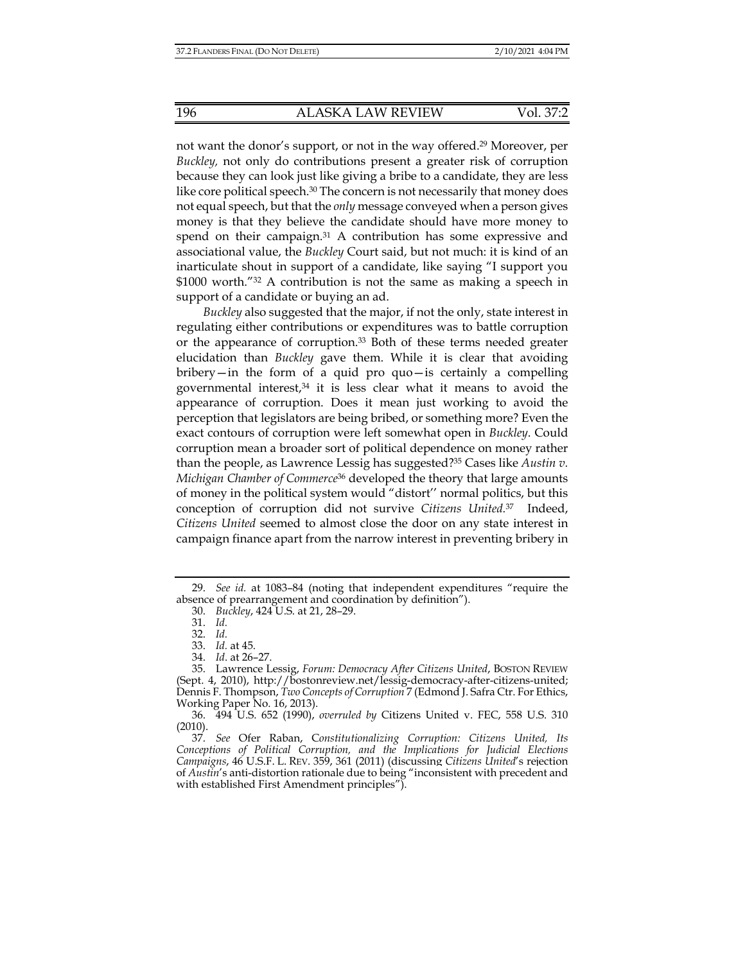not want the donor's support, or not in the way offered.29 Moreover, per *Buckley,* not only do contributions present a greater risk of corruption because they can look just like giving a bribe to a candidate, they are less like core political speech.<sup>30</sup> The concern is not necessarily that money does not equal speech, but that the *only* message conveyed when a person gives money is that they believe the candidate should have more money to spend on their campaign.<sup>31</sup> A contribution has some expressive and associational value, the *Buckley* Court said, but not much: it is kind of an inarticulate shout in support of a candidate, like saying "I support you \$1000 worth.<sup>"32</sup> A contribution is not the same as making a speech in support of a candidate or buying an ad.

*Buckley* also suggested that the major, if not the only, state interest in regulating either contributions or expenditures was to battle corruption or the appearance of corruption.<sup>33</sup> Both of these terms needed greater elucidation than *Buckley* gave them. While it is clear that avoiding bribery—in the form of a quid pro quo—is certainly a compelling governmental interest, $34$  it is less clear what it means to avoid the appearance of corruption. Does it mean just working to avoid the perception that legislators are being bribed, or something more? Even the exact contours of corruption were left somewhat open in *Buckley*. Could corruption mean a broader sort of political dependence on money rather than the people, as Lawrence Lessig has suggested?35 Cases like *Austin v. Michigan Chamber of Commerce*36 developed the theory that large amounts of money in the political system would "distort'' normal politics, but this conception of corruption did not survive *Citizens United.*<sup>37</sup>Indeed, *Citizens United* seemed to almost close the door on any state interest in campaign finance apart from the narrow interest in preventing bribery in

 <sup>29.</sup> *See id.* at 1083–84 (noting that independent expenditures "require the absence of prearrangement and coordination by definition").

 <sup>30.</sup> *Buckley*, 424 U.S. at 21, 28–29.

 <sup>31.</sup> *Id.*

 <sup>32.</sup> *Id.*

 <sup>33.</sup> *Id.* at 45.

 <sup>34.</sup> *Id*. at 26–27.

 <sup>35.</sup> Lawrence Lessig, *Forum: Democracy After Citizens United*, BOSTON REVIEW (Sept. 4, 2010), http://bostonreview.net/lessig-democracy-after-citizens-united; Dennis F. Thompson, *Two Concepts of Corruption* 7 (Edmond J. Safra Ctr. For Ethics, Working Paper No. 16, 2013).

 <sup>36. 494</sup> U.S. 652 (1990), *overruled by* Citizens United v. FEC, 558 U.S. 310 (2010).

 <sup>37.</sup> *See* Ofer Raban, C*onstitutionalizing Corruption: Citizens United, Its Conceptions of Political Corruption, and the Implications for Judicial Elections Campaigns*, 46 U.S.F. L. REV. 359, 361 (2011) (discussing *Citizens United*'s rejection of *Austin*'s anti-distortion rationale due to being "inconsistent with precedent and with established First Amendment principles").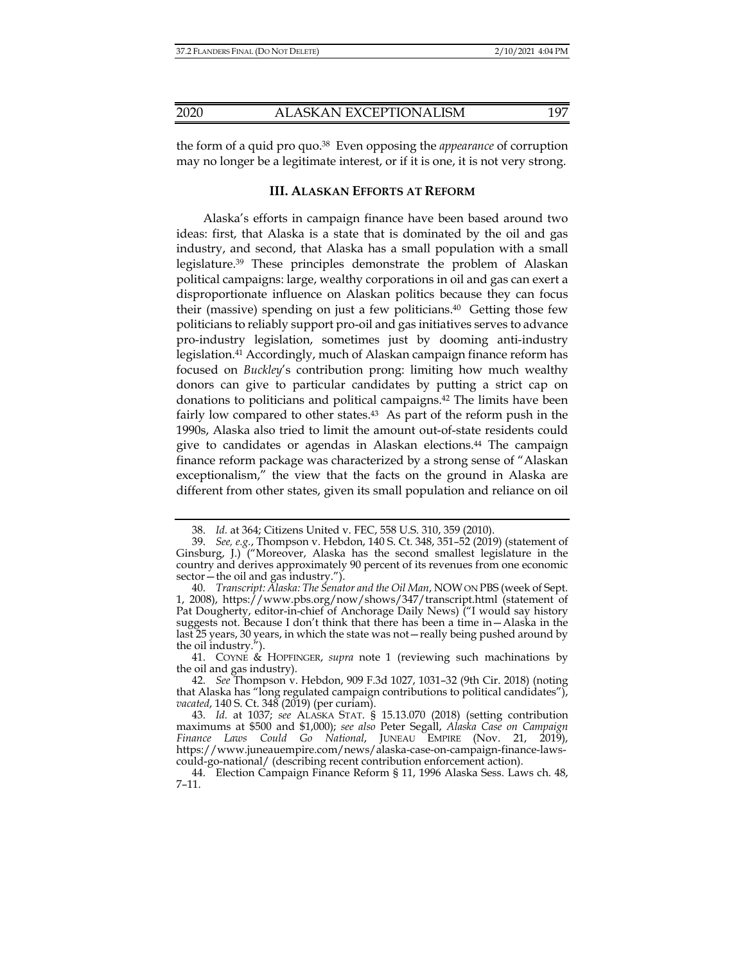the form of a quid pro quo.38 Even opposing the *appearance* of corruption may no longer be a legitimate interest, or if it is one, it is not very strong.

# **III. ALASKAN EFFORTS AT REFORM**

Alaska's efforts in campaign finance have been based around two ideas: first, that Alaska is a state that is dominated by the oil and gas industry, and second, that Alaska has a small population with a small legislature.39 These principles demonstrate the problem of Alaskan political campaigns: large, wealthy corporations in oil and gas can exert a disproportionate influence on Alaskan politics because they can focus their (massive) spending on just a few politicians.<sup>40</sup> Getting those few politicians to reliably support pro-oil and gas initiatives serves to advance pro-industry legislation, sometimes just by dooming anti-industry legislation.41 Accordingly, much of Alaskan campaign finance reform has focused on *Buckley*'s contribution prong: limiting how much wealthy donors can give to particular candidates by putting a strict cap on donations to politicians and political campaigns.42 The limits have been fairly low compared to other states.43 As part of the reform push in the 1990s, Alaska also tried to limit the amount out-of-state residents could give to candidates or agendas in Alaskan elections.44 The campaign finance reform package was characterized by a strong sense of "Alaskan exceptionalism," the view that the facts on the ground in Alaska are different from other states, given its small population and reliance on oil

 41. COYNE & HOPFINGER, *supra* note 1 (reviewing such machinations by the oil and gas industry).

 <sup>38.</sup> *Id.* at 364; Citizens United v. FEC, 558 U.S. 310, 359 (2010).

 <sup>39.</sup> *See, e.g.*, Thompson v. Hebdon, 140 S. Ct. 348, 351–52 (2019) (statement of Ginsburg, J.) ("Moreover, Alaska has the second smallest legislature in the country and derives approximately 90 percent of its revenues from one economic sector—the oil and gas industry.").

 <sup>40.</sup> *Transcript: Alaska: The Senator and the Oil Man*, NOW ON PBS (week of Sept. 1, 2008), https://www.pbs.org/now/shows/347/transcript.html (statement of Pat Dougherty, editor-in-chief of Anchorage Daily News) ("I would say history suggests not. Because I don't think that there has been a time in—Alaska in the last 25 years, 30 years, in which the state was not—really being pushed around by the oil industry.").

 <sup>42.</sup> *See* Thompson v. Hebdon, 909 F.3d 1027, 1031–32 (9th Cir. 2018) (noting that Alaska has "long regulated campaign contributions to political candidates"), *vacated*, 140 S. Ct. 348 (2019) (per curiam).

 <sup>43.</sup> *Id.* at 1037; *see* ALASKA STAT. § 15.13.070 (2018) (setting contribution maximums at \$500 and \$1,000); *see also* Peter Segall, *Alaska Case on Campaign Finance Laws Could Go National*, JUNEAU EMPIRE (Nov. 21, 2019), https://www.juneauempire.com/news/alaska-case-on-campaign-finance-lawscould-go-national/ (describing recent contribution enforcement action).

 <sup>44.</sup> Election Campaign Finance Reform § 11, 1996 Alaska Sess. Laws ch. 48, 7–11.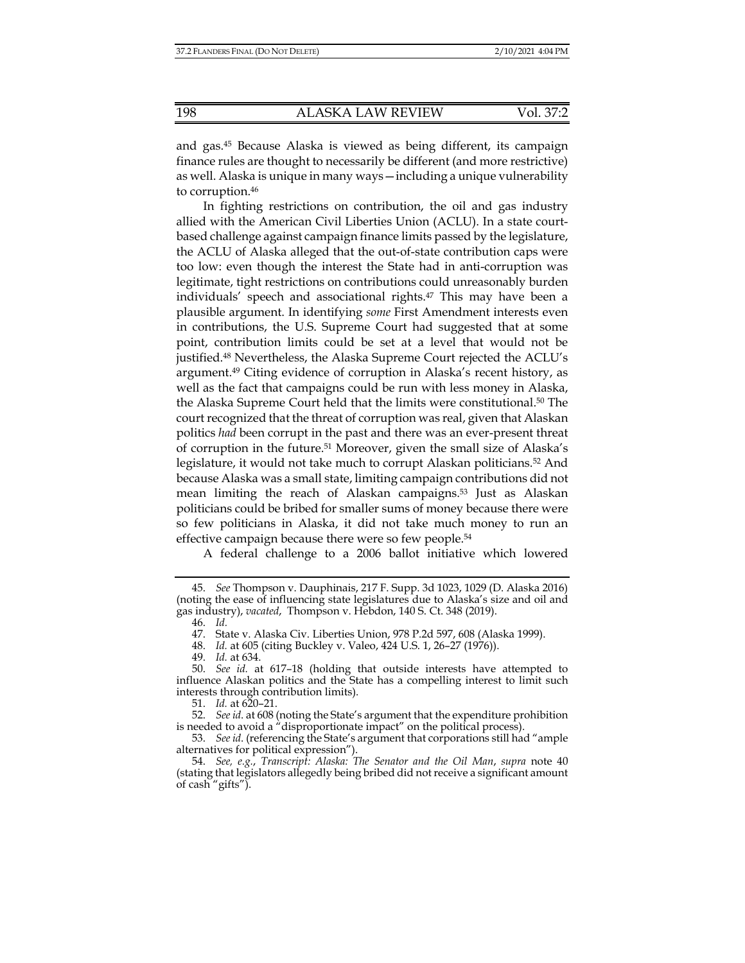and gas.45 Because Alaska is viewed as being different, its campaign finance rules are thought to necessarily be different (and more restrictive) as well. Alaska is unique in many ways—including a unique vulnerability to corruption.46

In fighting restrictions on contribution, the oil and gas industry allied with the American Civil Liberties Union (ACLU). In a state courtbased challenge against campaign finance limits passed by the legislature, the ACLU of Alaska alleged that the out-of-state contribution caps were too low: even though the interest the State had in anti-corruption was legitimate, tight restrictions on contributions could unreasonably burden individuals' speech and associational rights.<sup>47</sup> This may have been a plausible argument. In identifying *some* First Amendment interests even in contributions, the U.S. Supreme Court had suggested that at some point, contribution limits could be set at a level that would not be justified.48 Nevertheless, the Alaska Supreme Court rejected the ACLU's argument.49 Citing evidence of corruption in Alaska's recent history, as well as the fact that campaigns could be run with less money in Alaska, the Alaska Supreme Court held that the limits were constitutional.50 The court recognized that the threat of corruption was real, given that Alaskan politics *had* been corrupt in the past and there was an ever-present threat of corruption in the future.51 Moreover, given the small size of Alaska's legislature, it would not take much to corrupt Alaskan politicians.52 And because Alaska was a small state, limiting campaign contributions did not mean limiting the reach of Alaskan campaigns.53 Just as Alaskan politicians could be bribed for smaller sums of money because there were so few politicians in Alaska, it did not take much money to run an effective campaign because there were so few people.54

A federal challenge to a 2006 ballot initiative which lowered

46. *Id.*

51. *Id.* at 620–21.

 52. *See id*. at 608 (noting the State's argument that the expenditure prohibition is needed to avoid a "disproportionate impact" on the political process).

 53. *See id*. (referencing the State's argument that corporations still had "ample alternatives for political expression").

 54. *See, e.g.*, *Transcript: Alaska: The Senator and the Oil Man*, *supra* note 40 (stating that legislators allegedly being bribed did not receive a significant amount of cash "gifts").

 <sup>45.</sup> *See* Thompson v. Dauphinais, 217 F. Supp. 3d 1023, 1029 (D. Alaska 2016) (noting the ease of influencing state legislatures due to Alaska's size and oil and gas industry), *vacated*, Thompson v. Hebdon, 140 S. Ct. 348 (2019).

 <sup>47.</sup> State v. Alaska Civ. Liberties Union, 978 P.2d 597, 608 (Alaska 1999).

 <sup>48.</sup> *Id.* at 605 (citing Buckley v. Valeo, 424 U.S. 1, 26–27 (1976)).

 <sup>49.</sup> *Id.* at 634.

 <sup>50.</sup> *See id.* at 617–18 (holding that outside interests have attempted to influence Alaskan politics and the State has a compelling interest to limit such interests through contribution limits).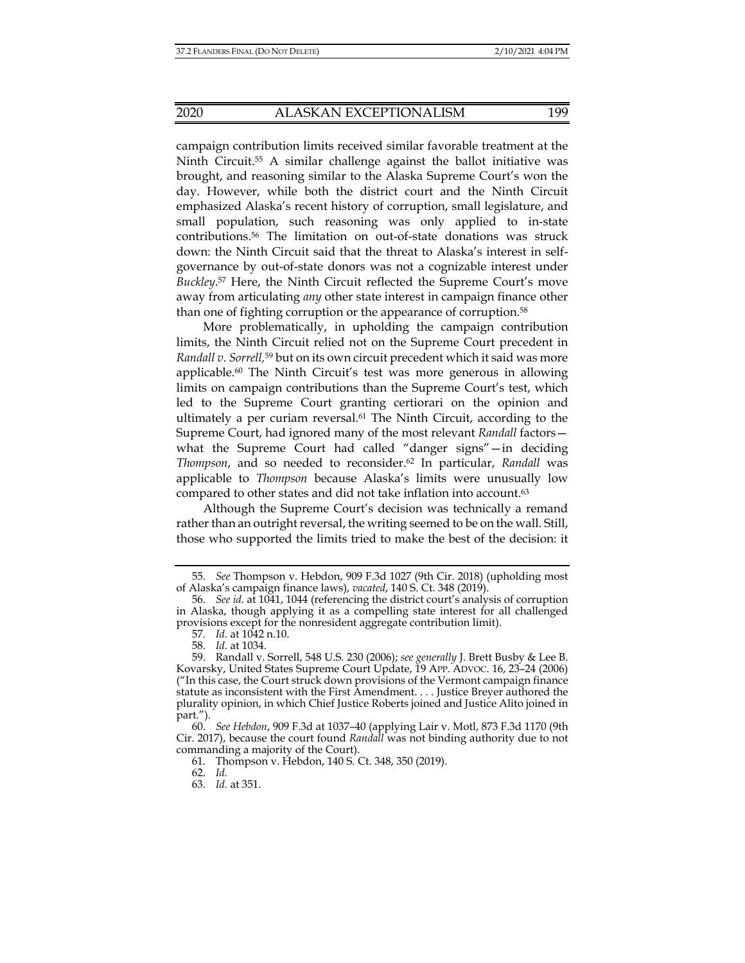campaign contribution limits received similar favorable treatment at the Ninth Circuit.<sup>55</sup> A similar challenge against the ballot initiative was brought, and reasoning similar to the Alaska Supreme Court's won the day. However, while both the district court and the Ninth Circuit emphasized Alaska's recent history of corruption, small legislature, and small population, such reasoning was only applied to in-state contributions.56 The limitation on out-of-state donations was struck down: the Ninth Circuit said that the threat to Alaska's interest in selfgovernance by out-of-state donors was not a cognizable interest under *Buckley*. 57 Here, the Ninth Circuit reflected the Supreme Court's move away from articulating *any* other state interest in campaign finance other than one of fighting corruption or the appearance of corruption.58

More problematically, in upholding the campaign contribution limits, the Ninth Circuit relied not on the Supreme Court precedent in *Randall v. Sorrell,*59 but on its own circuit precedent which it said was more applicable.<sup>60</sup> The Ninth Circuit's test was more generous in allowing limits on campaign contributions than the Supreme Court's test, which led to the Supreme Court granting certiorari on the opinion and ultimately a per curiam reversal.61 The Ninth Circuit, according to the Supreme Court, had ignored many of the most relevant *Randall* factors what the Supreme Court had called "danger signs"—in deciding *Thompson*, and so needed to reconsider.62 In particular, *Randall* was applicable to *Thompson* because Alaska's limits were unusually low compared to other states and did not take inflation into account.63

Although the Supreme Court's decision was technically a remand rather than an outright reversal, the writing seemed to be on the wall. Still, those who supported the limits tried to make the best of the decision: it

 <sup>55.</sup> *See* Thompson v. Hebdon, 909 F.3d 1027 (9th Cir. 2018) (upholding most of Alaska's campaign finance laws), *vacated*, 140 S. Ct. 348 (2019).

 <sup>56.</sup> *See id.* at 1041, 1044 (referencing the district court's analysis of corruption in Alaska, though applying it as a compelling state interest for all challenged provisions except for the nonresident aggregate contribution limit).

 <sup>57.</sup> *Id.* at 1042 n.10.

 <sup>58.</sup> *Id.* at 1034.

 <sup>59.</sup> Randall v. Sorrell, 548 U.S. 230 (2006); *see generally* J. Brett Busby & Lee B. Kovarsky, United States Supreme Court Update, 19 APP. ADVOC. 16, 23–24 (2006) ("In this case, the Court struck down provisions of the Vermont campaign finance statute as inconsistent with the First Amendment. . . . Justice Breyer authored the plurality opinion, in which Chief Justice Roberts joined and Justice Alito joined in part.").

 <sup>60.</sup> *See Hebdon*, 909 F.3d at 1037–40 (applying Lair v. Motl, 873 F.3d 1170 (9th Cir. 2017), because the court found *Randall* was not binding authority due to not commanding a majority of the Court).

 <sup>61.</sup> Thompson v. Hebdon, 140 S. Ct. 348, 350 (2019).

 <sup>62.</sup> *Id.*

 <sup>63.</sup> *Id.* at 351.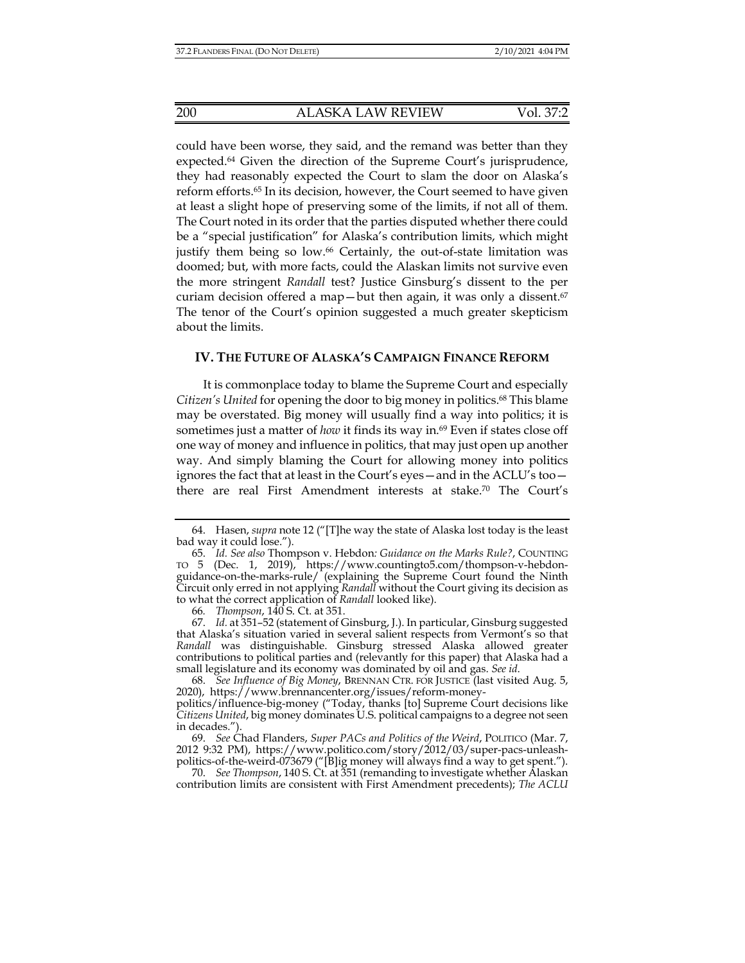could have been worse, they said, and the remand was better than they expected.64 Given the direction of the Supreme Court's jurisprudence, they had reasonably expected the Court to slam the door on Alaska's reform efforts.65 In its decision, however, the Court seemed to have given at least a slight hope of preserving some of the limits, if not all of them. The Court noted in its order that the parties disputed whether there could be a "special justification" for Alaska's contribution limits, which might justify them being so low.66 Certainly, the out-of-state limitation was doomed; but, with more facts, could the Alaskan limits not survive even the more stringent *Randall* test? Justice Ginsburg's dissent to the per curiam decision offered a map—but then again, it was only a dissent. $67$ The tenor of the Court's opinion suggested a much greater skepticism about the limits.

### **IV. THE FUTURE OF ALASKA'S CAMPAIGN FINANCE REFORM**

It is commonplace today to blame the Supreme Court and especially *Citizen's United* for opening the door to big money in politics.68 This blame may be overstated. Big money will usually find a way into politics; it is sometimes just a matter of *how* it finds its way in.<sup>69</sup> Even if states close off one way of money and influence in politics, that may just open up another way. And simply blaming the Court for allowing money into politics ignores the fact that at least in the Court's eyes—and in the ACLU's too there are real First Amendment interests at stake.70 The Court's

 68. *See Influence of Big Money*, BRENNAN CTR. FOR JUSTICE (last visited Aug. 5, 2020), https://www.brennancenter.org/issues/reform-money-

 <sup>64.</sup> Hasen, *supra* note 12 ("[T]he way the state of Alaska lost today is the least bad way it could lose.").

 <sup>65.</sup> *Id. See also* Thompson v. Hebdon*: Guidance on the Marks Rule?*, COUNTING TO 5 (Dec. 1, 2019), https://www.countingto5.com/thompson-v-hebdonguidance-on-the-marks-rule/ (explaining the Supreme Court found the Ninth Circuit only erred in not applying *Randall* without the Court giving its decision as to what the correct application of *Randall* looked like).

<sup>66</sup>*. Thompson*, 140 S. Ct. at 351.

 <sup>67.</sup> *Id.* at 351–52 (statement of Ginsburg, J.). In particular, Ginsburg suggested that Alaska's situation varied in several salient respects from Vermont's so that *Randall* was distinguishable. Ginsburg stressed Alaska allowed greater contributions to political parties and (relevantly for this paper) that Alaska had a small legislature and its economy was dominated by oil and gas. *See id*.

politics/influence-big-money ("Today, thanks [to] Supreme Court decisions like *Citizens United*, big money dominates U.S. political campaigns to a degree not seen in decades.").

 <sup>69.</sup> *See* Chad Flanders, *Super PACs and Politics of the Weird*, POLITICO (Mar. 7, 2012 9:32 PM), https://www.politico.com/story/2012/03/super-pacs-unleashpolitics-of-the-weird-073679 ("[B]ig money will always find a way to get spent.").

 <sup>70.</sup> *See Thompson*, 140 S. Ct. at 351 (remanding to investigate whether Alaskan contribution limits are consistent with First Amendment precedents); *The ACLU*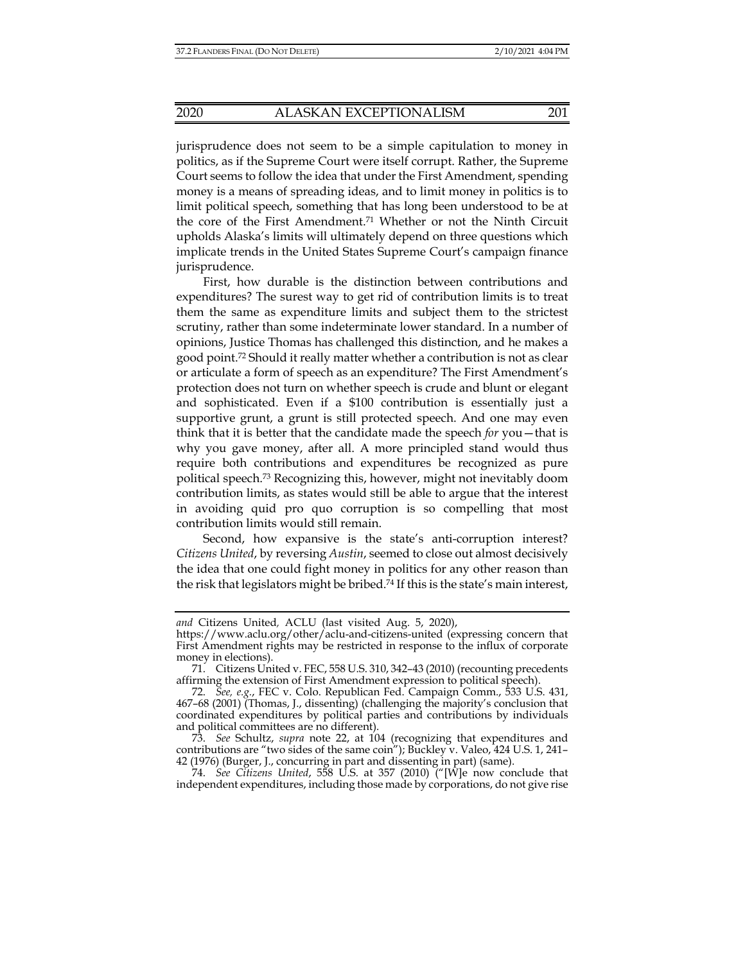jurisprudence does not seem to be a simple capitulation to money in politics, as if the Supreme Court were itself corrupt. Rather, the Supreme Court seems to follow the idea that under the First Amendment, spending money is a means of spreading ideas, and to limit money in politics is to limit political speech, something that has long been understood to be at the core of the First Amendment.71 Whether or not the Ninth Circuit upholds Alaska's limits will ultimately depend on three questions which implicate trends in the United States Supreme Court's campaign finance jurisprudence.

First, how durable is the distinction between contributions and expenditures? The surest way to get rid of contribution limits is to treat them the same as expenditure limits and subject them to the strictest scrutiny, rather than some indeterminate lower standard. In a number of opinions, Justice Thomas has challenged this distinction, and he makes a good point.72 Should it really matter whether a contribution is not as clear or articulate a form of speech as an expenditure? The First Amendment's protection does not turn on whether speech is crude and blunt or elegant and sophisticated. Even if a \$100 contribution is essentially just a supportive grunt, a grunt is still protected speech. And one may even think that it is better that the candidate made the speech *for* you—that is why you gave money, after all. A more principled stand would thus require both contributions and expenditures be recognized as pure political speech.73 Recognizing this, however, might not inevitably doom contribution limits, as states would still be able to argue that the interest in avoiding quid pro quo corruption is so compelling that most contribution limits would still remain.

Second, how expansive is the state's anti-corruption interest? *Citizens United*, by reversing *Austin*, seemed to close out almost decisively the idea that one could fight money in politics for any other reason than the risk that legislators might be bribed.74 If this is the state's main interest,

*and* Citizens United*,* ACLU (last visited Aug. 5, 2020),

https://www.aclu.org/other/aclu-and-citizens-united (expressing concern that First Amendment rights may be restricted in response to the influx of corporate money in elections).

 <sup>71.</sup> Citizens United v. FEC, 558 U.S. 310, 342–43 (2010) (recounting precedents affirming the extension of First Amendment expression to political speech).

 <sup>72.</sup> *See, e.g.*, FEC v. Colo. Republican Fed. Campaign Comm., 533 U.S. 431, 467–68 (2001) (Thomas, J., dissenting) (challenging the majority's conclusion that coordinated expenditures by political parties and contributions by individuals and political committees are no different).

 <sup>73.</sup> *See* Schultz, *supra* note 22, at 104 (recognizing that expenditures and contributions are "two sides of the same coin"); Buckley v. Valeo, 424 U.S. 1, 241– 42 (1976) (Burger, J., concurring in part and dissenting in part) (same).

 <sup>74.</sup> *See Citizens United*, 558 U.S. at 357 (2010) ("[W]e now conclude that independent expenditures, including those made by corporations, do not give rise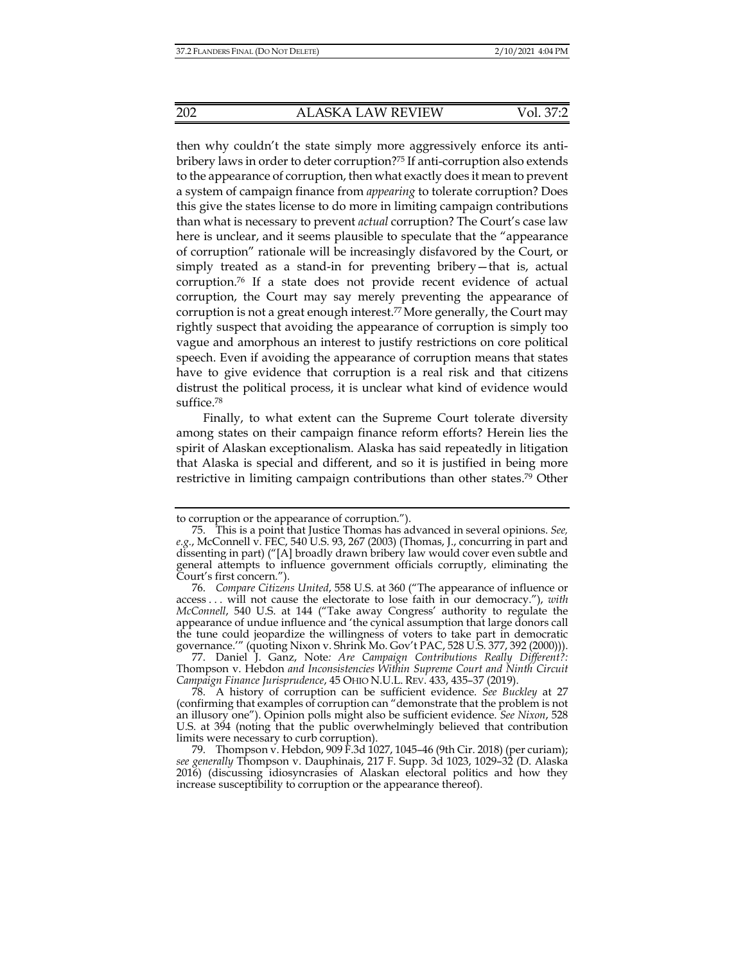then why couldn't the state simply more aggressively enforce its antibribery laws in order to deter corruption?75 If anti-corruption also extends to the appearance of corruption, then what exactly does it mean to prevent a system of campaign finance from *appearing* to tolerate corruption? Does this give the states license to do more in limiting campaign contributions than what is necessary to prevent *actual* corruption? The Court's case law here is unclear, and it seems plausible to speculate that the "appearance of corruption" rationale will be increasingly disfavored by the Court, or simply treated as a stand-in for preventing bribery—that is, actual corruption.76 If a state does not provide recent evidence of actual corruption, the Court may say merely preventing the appearance of corruption is not a great enough interest.<sup>77</sup> More generally, the Court may rightly suspect that avoiding the appearance of corruption is simply too vague and amorphous an interest to justify restrictions on core political speech. Even if avoiding the appearance of corruption means that states have to give evidence that corruption is a real risk and that citizens distrust the political process, it is unclear what kind of evidence would suffice.78

Finally, to what extent can the Supreme Court tolerate diversity among states on their campaign finance reform efforts? Herein lies the spirit of Alaskan exceptionalism. Alaska has said repeatedly in litigation that Alaska is special and different, and so it is justified in being more restrictive in limiting campaign contributions than other states.<sup>79</sup> Other

 77. Daniel J. Ganz, Note*: Are Campaign Contributions Really Different?:*  Thompson v. Hebdon *and Inconsistencies Within Supreme Court and Ninth Circuit Campaign Finance Jurisprudence*, 45 OHIO N.U.L. REV. 433, 435–37 (2019).

 78. A history of corruption can be sufficient evidence. *See Buckley* at 27 (confirming that examples of corruption can "demonstrate that the problem is not an illusory one"). Opinion polls might also be sufficient evidence. *See Nixon*, 528 U.S. at 394 (noting that the public overwhelmingly believed that contribution limits were necessary to curb corruption).

to corruption or the appearance of corruption.").

 <sup>75.</sup> This is a point that Justice Thomas has advanced in several opinions. *See, e.g.*, McConnell v. FEC, 540 U.S. 93, 267 (2003) (Thomas, J., concurring in part and dissenting in part) ("[A] broadly drawn bribery law would cover even subtle and general attempts to influence government officials corruptly, eliminating the Court's first concern.").

 <sup>76.</sup> *Compare Citizens United*, 558 U.S. at 360 ("The appearance of influence or access . . . will not cause the electorate to lose faith in our democracy."), *with McConnell*, 540 U.S. at 144 ("Take away Congress' authority to regulate the appearance of undue influence and 'the cynical assumption that large donors call the tune could jeopardize the willingness of voters to take part in democratic governance.'" (quoting Nixon v. Shrink Mo. Gov't PAC, 528 U.S. 377, 392 (2000))).

 <sup>79.</sup> Thompson v. Hebdon, 909 F.3d 1027, 1045–46 (9th Cir. 2018) (per curiam); *see generally* Thompson v. Dauphinais, 217 F. Supp. 3d 1023, 1029–32 (D. Alaska 2016) (discussing idiosyncrasies of Alaskan electoral politics and how they increase susceptibility to corruption or the appearance thereof).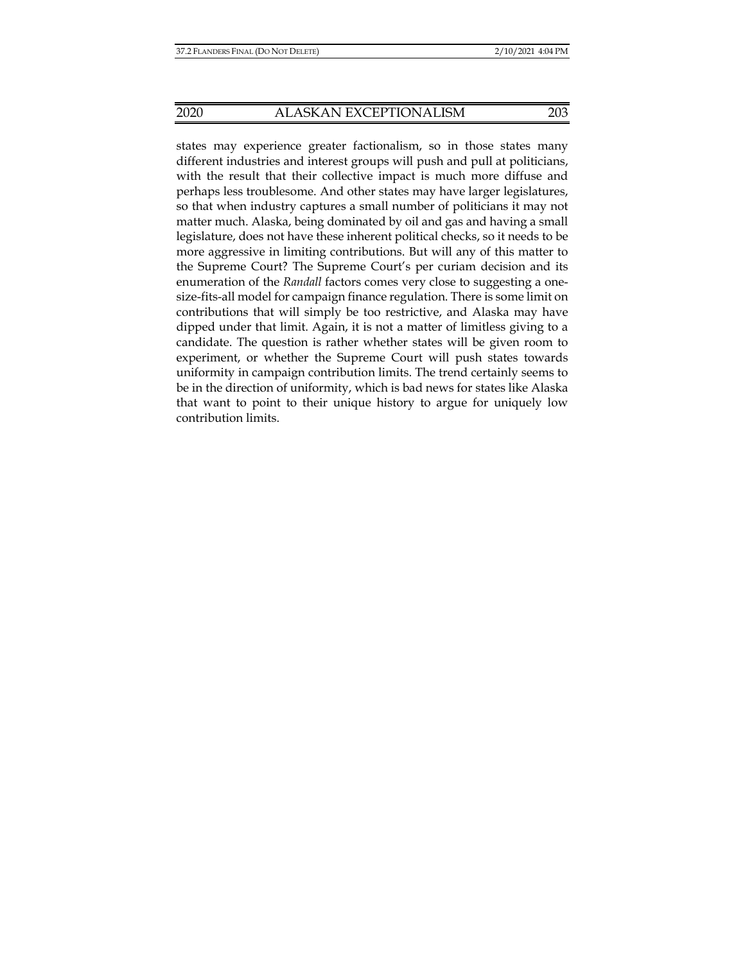states may experience greater factionalism, so in those states many different industries and interest groups will push and pull at politicians, with the result that their collective impact is much more diffuse and perhaps less troublesome. And other states may have larger legislatures, so that when industry captures a small number of politicians it may not matter much. Alaska, being dominated by oil and gas and having a small legislature, does not have these inherent political checks, so it needs to be more aggressive in limiting contributions. But will any of this matter to the Supreme Court? The Supreme Court's per curiam decision and its enumeration of the *Randall* factors comes very close to suggesting a onesize-fits-all model for campaign finance regulation. There is some limit on contributions that will simply be too restrictive, and Alaska may have dipped under that limit. Again, it is not a matter of limitless giving to a candidate. The question is rather whether states will be given room to experiment, or whether the Supreme Court will push states towards uniformity in campaign contribution limits. The trend certainly seems to be in the direction of uniformity, which is bad news for states like Alaska that want to point to their unique history to argue for uniquely low contribution limits.